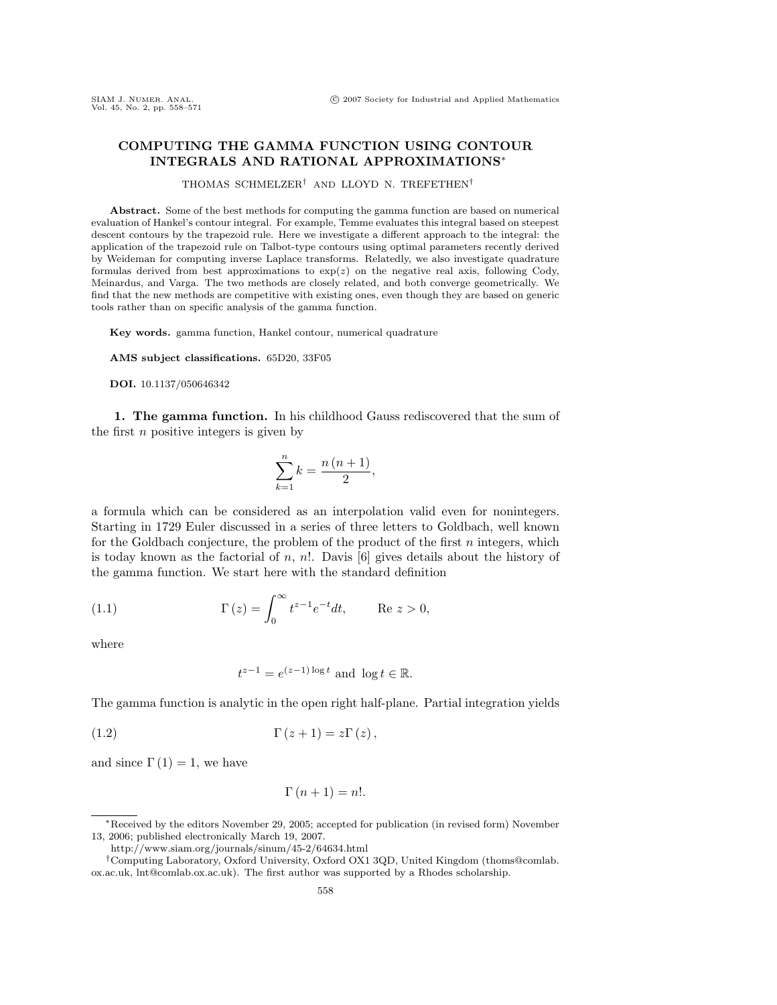## **COMPUTING THE GAMMA FUNCTION USING CONTOUR INTEGRALS AND RATIONAL APPROXIMATIONS**∗

THOMAS SCHMELZER† AND LLOYD N. TREFETHEN†

**Abstract.** Some of the best methods for computing the gamma function are based on numerical evaluation of Hankel's contour integral. For example, Temme evaluates this integral based on steepest descent contours by the trapezoid rule. Here we investigate a different approach to the integral: the application of the trapezoid rule on Talbot-type contours using optimal parameters recently derived by Weideman for computing inverse Laplace transforms. Relatedly, we also investigate quadrature formulas derived from best approximations to  $exp(z)$  on the negative real axis, following Cody, Meinardus, and Varga. The two methods are closely related, and both converge geometrically. We find that the new methods are competitive with existing ones, even though they are based on generic tools rather than on specific analysis of the gamma function.

**Key words.** gamma function, Hankel contour, numerical quadrature

**AMS subject classifications.** 65D20, 33F05

**DOI.** 10.1137/050646342

**1. The gamma function.** In his childhood Gauss rediscovered that the sum of the first  $n$  positive integers is given by

$$
\sum_{k=1}^{n} k = \frac{n(n+1)}{2},
$$

a formula which can be considered as an interpolation valid even for nonintegers. Starting in 1729 Euler discussed in a series of three letters to Goldbach, well known for the Goldbach conjecture, the problem of the product of the first  $n$  integers, which is today known as the factorial of  $n, n!$ . Davis [6] gives details about the history of the gamma function. We start here with the standard definition

(1.1) 
$$
\Gamma(z) = \int_0^\infty t^{z-1} e^{-t} dt, \quad \text{Re } z > 0,
$$

where

$$
t^{z-1} = e^{(z-1)\log t} \text{ and } \log t \in \mathbb{R}.
$$

The gamma function is analytic in the open right half-plane. Partial integration yields

$$
\Gamma(z+1) = z\Gamma(z),
$$

and since  $\Gamma(1) = 1$ , we have

$$
\Gamma(n+1) = n!.
$$

<sup>∗</sup>Received by the editors November 29, 2005; accepted for publication (in revised form) November 13, 2006; published electronically March 19, 2007.

http://www.siam.org/journals/sinum/45-2/64634.html

<sup>†</sup>Computing Laboratory, Oxford University, Oxford OX1 3QD, United Kingdom (thoms@comlab. ox.ac.uk, lnt@comlab.ox.ac.uk). The first author was supported by a Rhodes scholarship.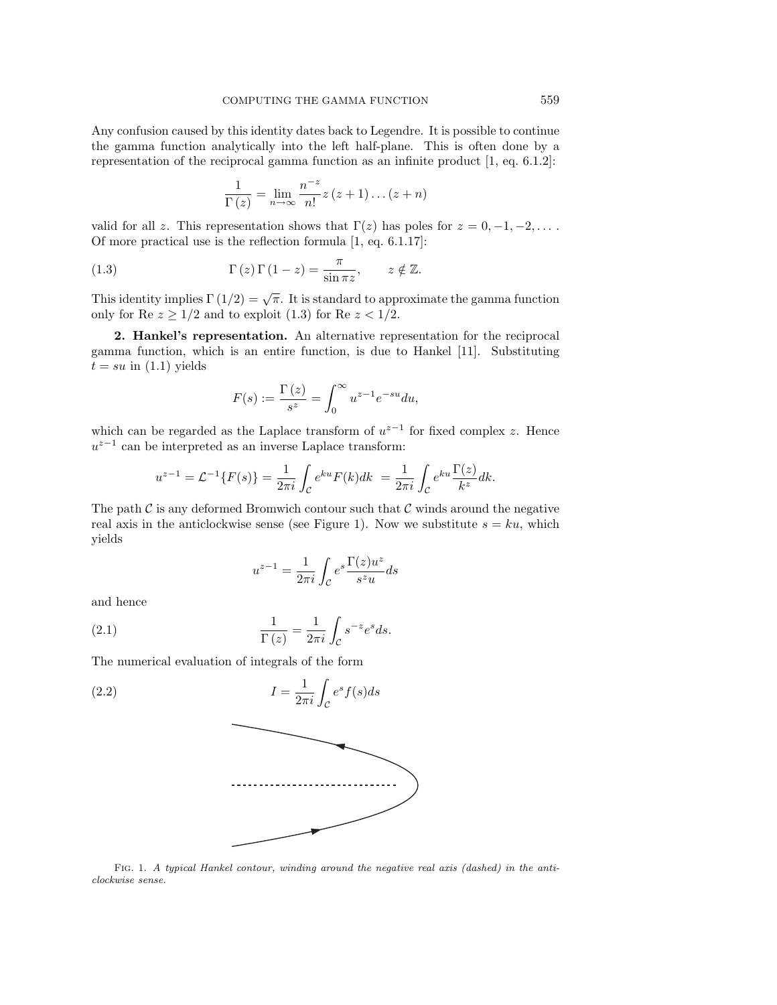Any confusion caused by this identity dates back to Legendre. It is possible to continue the gamma function analytically into the left half-plane. This is often done by a representation of the reciprocal gamma function as an infinite product [1, eq. 6.1.2]:

$$
\frac{1}{\Gamma(z)} = \lim_{n \to \infty} \frac{n^{-z}}{n!} z (z+1) \dots (z+n)
$$

valid for all z. This representation shows that  $\Gamma(z)$  has poles for  $z = 0, -1, -2, \ldots$ . Of more practical use is the reflection formula [1, eq. 6.1.17]:

(1.3) 
$$
\Gamma(z) \Gamma(1-z) = \frac{\pi}{\sin \pi z}, \qquad z \notin \mathbb{Z}.
$$

This identity implies  $\Gamma(1/2) = \sqrt{\pi}$ . It is standard to approximate the gamma function only for Re  $z \geq 1/2$  and to exploit (1.3) for Re  $z < 1/2$ .

**2. Hankel's representation.** An alternative representation for the reciprocal gamma function, which is an entire function, is due to Hankel [11]. Substituting  $t = su$  in  $(1.1)$  yields

$$
F(s) := \frac{\Gamma(z)}{s^z} = \int_0^\infty u^{z-1} e^{-su} du,
$$

which can be regarded as the Laplace transform of  $u^{z-1}$  for fixed complex z. Hence  $u^{z-1}$  can be interpreted as an inverse Laplace transform:

$$
u^{z-1} = \mathcal{L}^{-1}{F(s)} = \frac{1}{2\pi i} \int_{\mathcal{C}} e^{ku} F(k) dk = \frac{1}{2\pi i} \int_{\mathcal{C}} e^{ku} \frac{\Gamma(z)}{k^z} dk.
$$

The path  $\mathcal C$  is any deformed Bromwich contour such that  $\mathcal C$  winds around the negative real axis in the anticlockwise sense (see Figure 1). Now we substitute  $s = ku$ , which yields

$$
u^{z-1} = \frac{1}{2\pi i} \int_{\mathcal{C}} e^{s \frac{\Gamma(z)u^z}{S^z u}} ds
$$

and hence

(2.1) 
$$
\frac{1}{\Gamma(z)} = \frac{1}{2\pi i} \int_{\mathcal{C}} s^{-z} e^s ds.
$$

The numerical evaluation of integrals of the form

(2.2) 
$$
I = \frac{1}{2\pi i} \int_{\mathcal{C}} e^s f(s) ds
$$

Fig. 1. A typical Hankel contour, winding around the negative real axis (dashed) in the anticlockwise sense.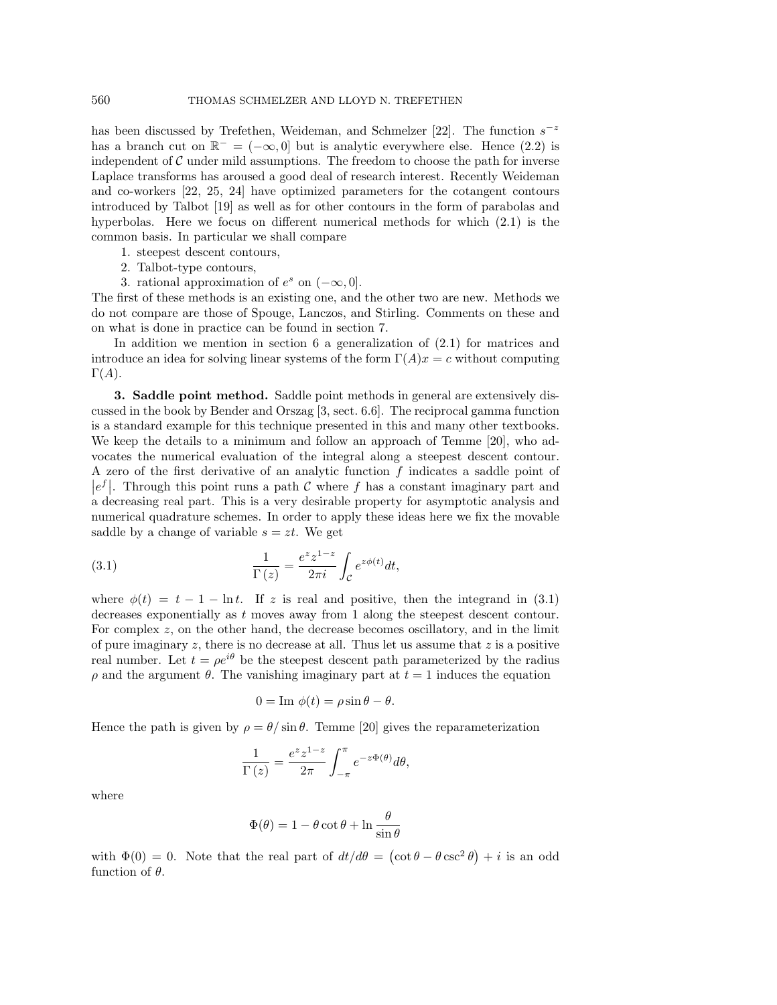has been discussed by Trefethen, Weideman, and Schmelzer [22]. The function  $s^{-z}$ has a branch cut on  $\mathbb{R}^- = (-\infty, 0]$  but is analytic everywhere else. Hence (2.2) is independent of  $\mathcal C$  under mild assumptions. The freedom to choose the path for inverse Laplace transforms has aroused a good deal of research interest. Recently Weideman and co-workers [22, 25, 24] have optimized parameters for the cotangent contours introduced by Talbot [19] as well as for other contours in the form of parabolas and hyperbolas. Here we focus on different numerical methods for which (2.1) is the common basis. In particular we shall compare

1. steepest descent contours,

- 2. Talbot-type contours,
- 3. rational approximation of  $e^s$  on  $(-\infty, 0]$ .

The first of these methods is an existing one, and the other two are new. Methods we do not compare are those of Spouge, Lanczos, and Stirling. Comments on these and on what is done in practice can be found in section 7.

In addition we mention in section 6 a generalization of (2.1) for matrices and introduce an idea for solving linear systems of the form  $\Gamma(A)x = c$  without computing  $\Gamma(A)$ .

**3. Saddle point method.** Saddle point methods in general are extensively discussed in the book by Bender and Orszag [3, sect. 6.6]. The reciprocal gamma function is a standard example for this technique presented in this and many other textbooks. We keep the details to a minimum and follow an approach of Temme [20], who advocates the numerical evaluation of the integral along a steepest descent contour. A zero of the first derivative of an analytic function f indicates a saddle point of  $|e^f|$ . Through this point runs a path C where f has a constant imaginary part and a decreasing real part. This is a very desirable property for asymptotic analysis and numerical quadrature schemes. In order to apply these ideas here we fix the movable saddle by a change of variable  $s = zt$ . We get

(3.1) 
$$
\frac{1}{\Gamma(z)} = \frac{e^z z^{1-z}}{2\pi i} \int_{\mathcal{C}} e^{z\phi(t)} dt,
$$

where  $\phi(t) = t - 1 - \ln t$ . If z is real and positive, then the integrand in (3.1) decreases exponentially as t moves away from 1 along the steepest descent contour. For complex  $z$ , on the other hand, the decrease becomes oscillatory, and in the limit of pure imaginary  $z$ , there is no decrease at all. Thus let us assume that  $z$  is a positive real number. Let  $t = \rho e^{i\theta}$  be the steepest descent path parameterized by the radius  $ρ$  and the argument  $θ$ . The vanishing imaginary part at  $t = 1$  induces the equation

$$
0 = \text{Im } \phi(t) = \rho \sin \theta - \theta.
$$

Hence the path is given by  $\rho = \theta / \sin \theta$ . Temme [20] gives the reparameterization

$$
\frac{1}{\Gamma(z)} = \frac{e^z z^{1-z}}{2\pi} \int_{-\pi}^{\pi} e^{-z\Phi(\theta)} d\theta,
$$

where

$$
\Phi(\theta) = 1 - \theta \cot \theta + \ln \frac{\theta}{\sin \theta}
$$

with  $\Phi(0) = 0$ . Note that the real part of  $dt/d\theta = (\cot \theta - \theta \csc^2 \theta) + i$  is an odd function of  $\theta$ .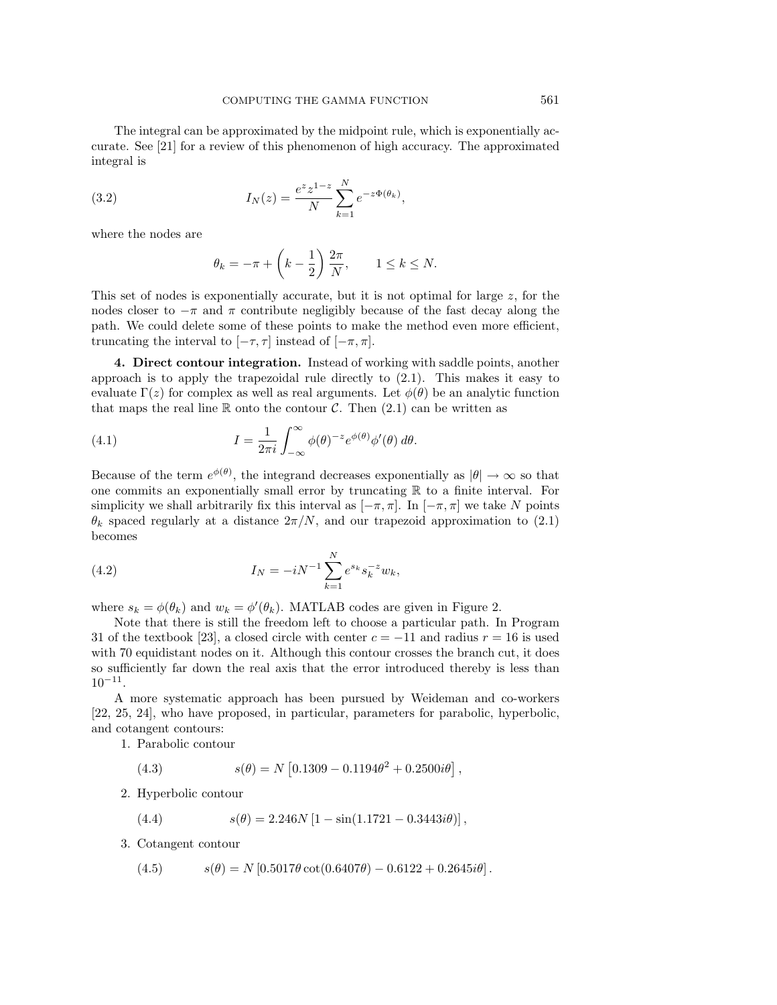The integral can be approximated by the midpoint rule, which is exponentially accurate. See [21] for a review of this phenomenon of high accuracy. The approximated integral is

(3.2) 
$$
I_N(z) = \frac{e^z z^{1-z}}{N} \sum_{k=1}^N e^{-z \Phi(\theta_k)},
$$

where the nodes are

$$
\theta_k = -\pi + \left(k - \frac{1}{2}\right) \frac{2\pi}{N}, \qquad 1 \le k \le N.
$$

This set of nodes is exponentially accurate, but it is not optimal for large  $z$ , for the nodes closer to  $-\pi$  and  $\pi$  contribute negligibly because of the fast decay along the path. We could delete some of these points to make the method even more efficient, truncating the interval to  $[-\tau, \tau]$  instead of  $[-\pi, \pi]$ .

**4. Direct contour integration.** Instead of working with saddle points, another approach is to apply the trapezoidal rule directly to (2.1). This makes it easy to evaluate  $\Gamma(z)$  for complex as well as real arguments. Let  $\phi(\theta)$  be an analytic function that maps the real line R onto the contour C. Then  $(2.1)$  can be written as

(4.1) 
$$
I = \frac{1}{2\pi i} \int_{-\infty}^{\infty} \phi(\theta)^{-z} e^{\phi(\theta)} \phi'(\theta) d\theta.
$$

Because of the term  $e^{\phi(\theta)}$ , the integrand decreases exponentially as  $|\theta| \to \infty$  so that one commits an exponentially small error by truncating  $\mathbb R$  to a finite interval. For simplicity we shall arbitrarily fix this interval as  $[-\pi, \pi]$ . In  $[-\pi, \pi]$  we take N points  $\theta_k$  spaced regularly at a distance  $2\pi/N$ , and our trapezoid approximation to (2.1) becomes

(4.2) 
$$
I_N = -iN^{-1} \sum_{k=1}^N e^{s_k} s_k^{-z} w_k,
$$

where  $s_k = \phi(\theta_k)$  and  $w_k = \phi'(\theta_k)$ . MATLAB codes are given in Figure 2.

Note that there is still the freedom left to choose a particular path. In Program 31 of the textbook [23], a closed circle with center  $c = -11$  and radius  $r = 16$  is used with 70 equidistant nodes on it. Although this contour crosses the branch cut, it does so sufficiently far down the real axis that the error introduced thereby is less than  $10^{-11}$ .

A more systematic approach has been pursued by Weideman and co-workers [22, 25, 24], who have proposed, in particular, parameters for parabolic, hyperbolic, and cotangent contours:

1. Parabolic contour

(4.3) 
$$
s(\theta) = N \left[ 0.1309 - 0.1194\theta^2 + 0.2500i\theta \right],
$$

2. Hyperbolic contour

(4.4) 
$$
s(\theta) = 2.246N[1 - \sin(1.1721 - 0.3443i\theta)],
$$

3. Cotangent contour

(4.5) 
$$
s(\theta) = N [0.5017 \theta \cot(0.6407\theta) - 0.6122 + 0.2645i\theta].
$$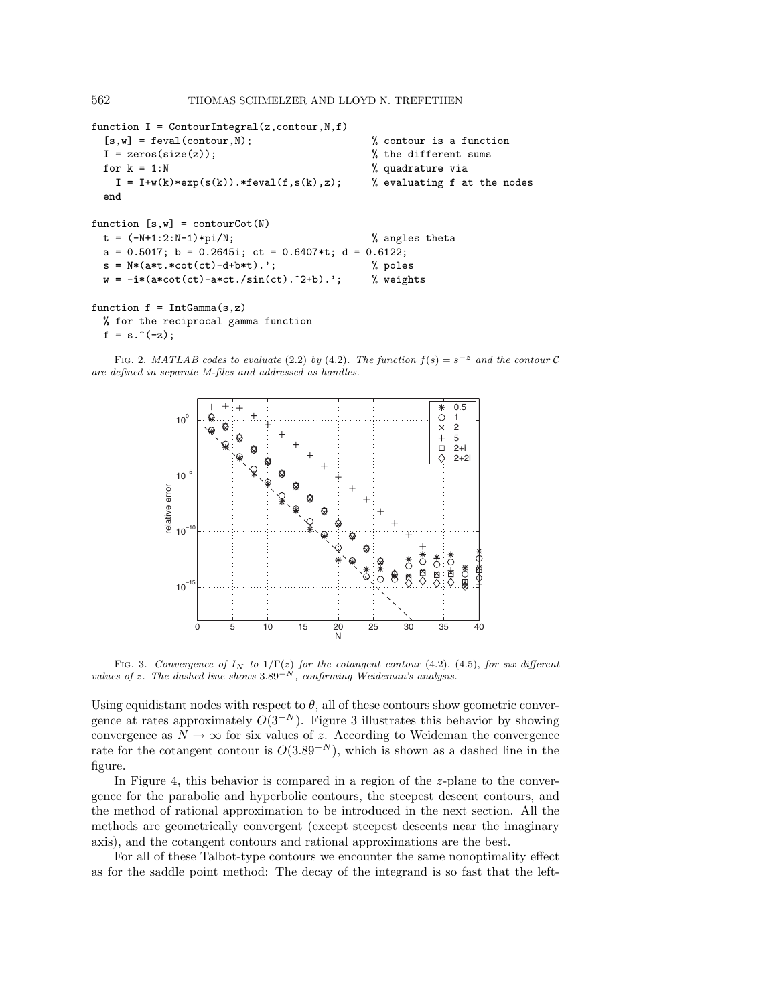```
function I = ContourIntegral(z, contour, N, f)
 [s, w] = \text{fewal}(\text{contour}, N); % contour is a function
 I = zeros(size(z)); % the different sums
 for k = 1:N % quadrature via
   I = I+w(k)*exp(s(k)).*feval(f,s(k),z); % evaluating f at the nodes
 end
function [s,w] = \text{contourCot}(N)t = (-N+1:2:N-1)*pi/N; % angles theta
 a = 0.5017; b = 0.2645i; ct = 0.6407*t; d = 0.6122;
 s = N*(a*t.*cot(ct)-d+b*t). % poles
 w = -i*(a*cot(ct)-a*ct./sin(ct).^2+b).'; % weights
function f = IntGamma(s, z)% for the reciprocal gamma function
```
 $f = s.^(z)$ ;

FIG. 2. MATLAB codes to evaluate (2.2) by (4.2). The function  $f(s) = s^{-z}$  and the contour C are defined in separate M-files and addressed as handles.



FIG. 3. Convergence of  $I_N$  to  $1/\Gamma(z)$  for the cotangent contour (4.2), (4.5), for six different values of z. The dashed line shows  $3.89^{-N}$ , confirming Weideman's analysis.

Using equidistant nodes with respect to  $\theta$ , all of these contours show geometric convergence at rates approximately  $O(3^{-N})$ . Figure 3 illustrates this behavior by showing convergence as  $N \to \infty$  for six values of z. According to Weideman the convergence rate for the cotangent contour is  $O(3.89^{-N})$ , which is shown as a dashed line in the figure.

In Figure 4, this behavior is compared in a region of the z-plane to the convergence for the parabolic and hyperbolic contours, the steepest descent contours, and the method of rational approximation to be introduced in the next section. All the methods are geometrically convergent (except steepest descents near the imaginary axis), and the cotangent contours and rational approximations are the best.

For all of these Talbot-type contours we encounter the same nonoptimality effect as for the saddle point method: The decay of the integrand is so fast that the left-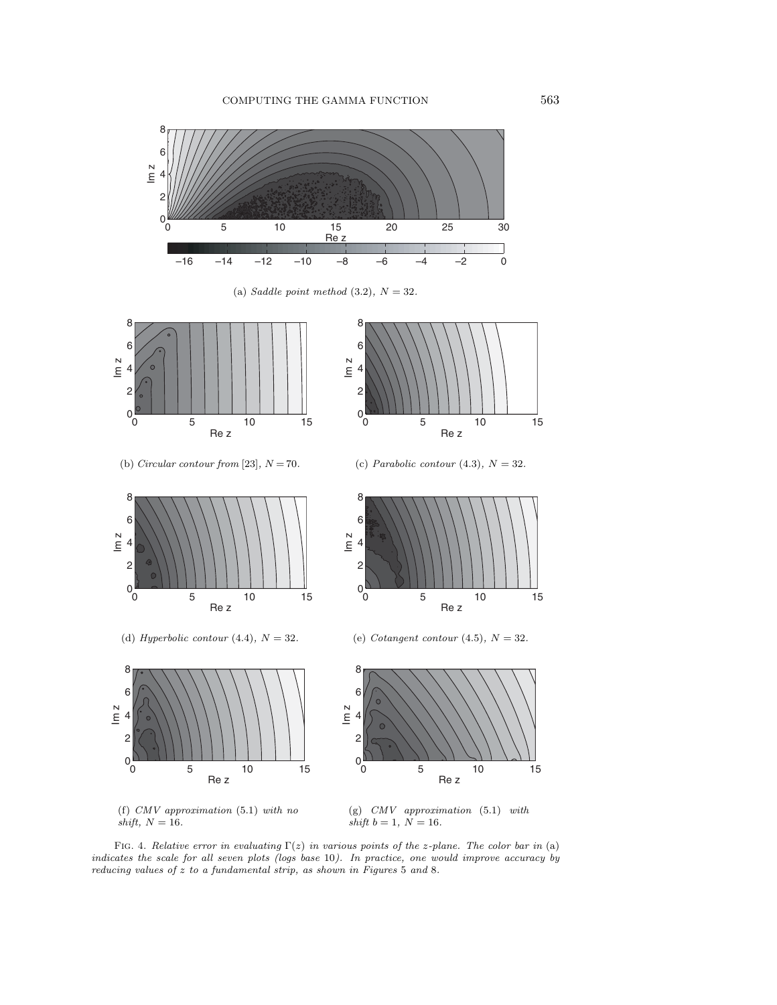

FIG. 4. Relative error in evaluating  $\Gamma(z)$  in various points of the z-plane. The color bar in (a) indicates the scale for all seven plots (logs base 10). In practice, one would improve accuracy by reducing values of z to a fundamental strip, as shown in Figures 5 and 8.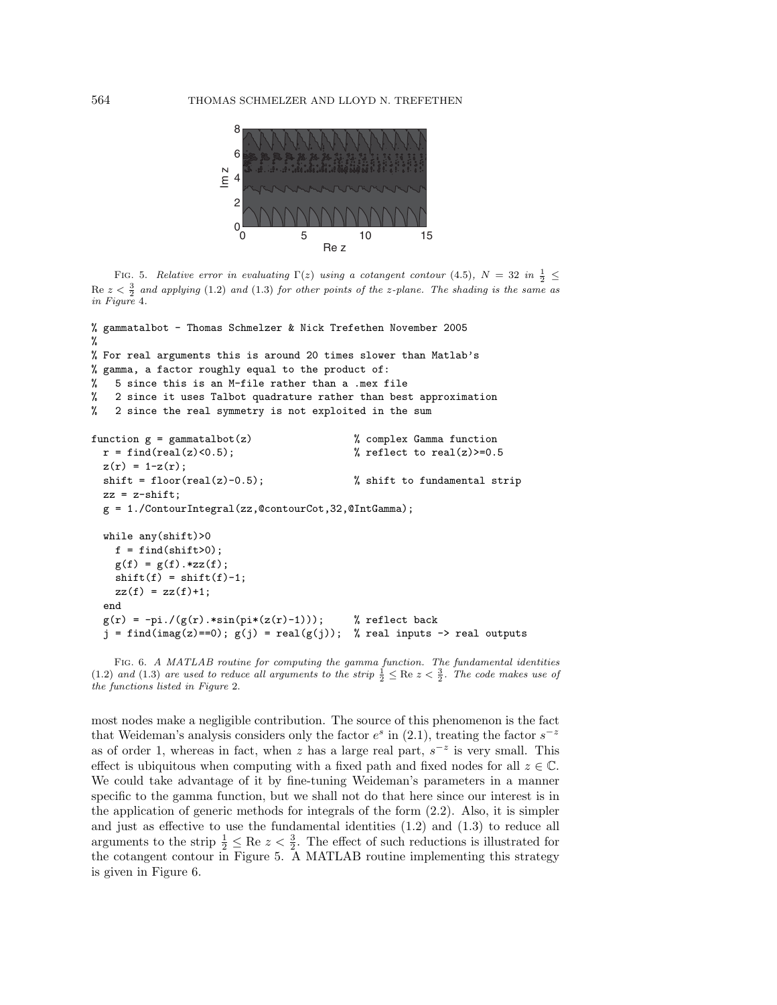

FIG. 5. Relative error in evaluating  $\Gamma(z)$  using a cotangent contour (4.5),  $N = 32$  in  $\frac{1}{2} \leq$  $\text{Re } z < \frac{3}{2}$  and applying (1.2) and (1.3) for other points of the z-plane. The shading is the same as in Figure 4.

```
% gammatalbot - Thomas Schmelzer & Nick Trefethen November 2005
%
% For real arguments this is around 20 times slower than Matlab's
% gamma, a factor roughly equal to the product of:
% 5 since this is an M-file rather than a .mex file
% 2 since it uses Talbot quadrature rather than best approximation
% 2 since the real symmetry is not exploited in the sum
function g = gammatalbot(z) % complex Gamma function
 r = \text{find}(\text{real}(z) < 0.5); % reflect to real(z) >= 0.5
 z(r) = 1-z(r);shift = floor(real(z)-0.5); \frac{1}{100} % shift to fundamental strip
 zz = z-shift;g = 1./ContourIntegral(zz,@contourCot,32,@IntGamma);
 while any(shift)>0
   f = find(shift>0);g(f) = g(f) . * zz(f);shift(f) = shift(f)-1;zz(f) = zz(f)+1;end
 g(r) = -pi./(g(r).*sin(pi*(z(r)-1))); % reflect back
  j = find(imag(z) == 0); g(j) = real(g(j)); % real inputs -> real outputs
```
FIG. 6. A MATLAB routine for computing the gamma function. The fundamental identities (1.2) and (1.3) are used to reduce all arguments to the strip  $\frac{1}{2} \leq \text{Re } z < \frac{3}{2}$ . The code makes use of the functions listed in Figure 2.

most nodes make a negligible contribution. The source of this phenomenon is the fact that Weideman's analysis considers only the factor  $e^s$  in (2.1), treating the factor  $s^{-z}$ as of order 1, whereas in fact, when z has a large real part,  $s^{-z}$  is very small. This effect is ubiquitous when computing with a fixed path and fixed nodes for all  $z \in \mathbb{C}$ . We could take advantage of it by fine-tuning Weideman's parameters in a manner specific to the gamma function, but we shall not do that here since our interest is in the application of generic methods for integrals of the form (2.2). Also, it is simpler and just as effective to use the fundamental identities (1.2) and (1.3) to reduce all arguments to the strip  $\frac{1}{2} \leq \text{Re } z < \frac{3}{2}$ . The effect of such reductions is illustrated for the cotangent contour in Figure 5. A MATLAB routine implementing this strategy is given in Figure 6.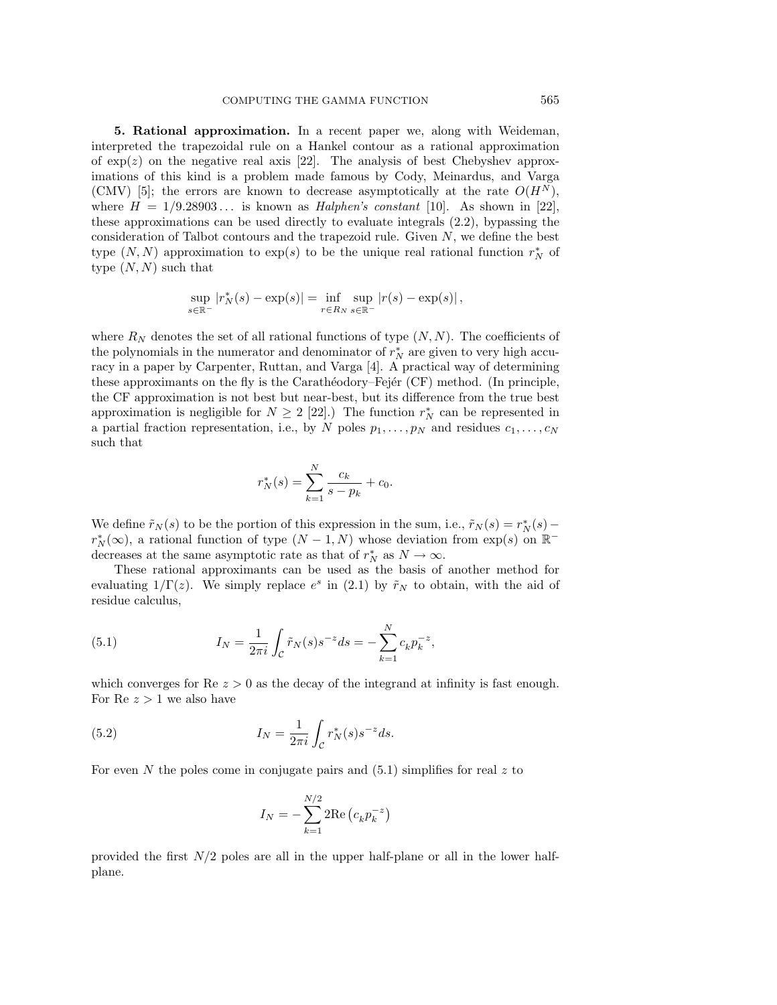**5. Rational approximation.** In a recent paper we, along with Weideman, interpreted the trapezoidal rule on a Hankel contour as a rational approximation of  $\exp(z)$  on the negative real axis [22]. The analysis of best Chebyshev approximations of this kind is a problem made famous by Cody, Meinardus, and Varga (CMV) [5]; the errors are known to decrease asymptotically at the rate  $O(H<sup>N</sup>)$ , where  $H = 1/9.28903...$  is known as *Halphen's constant* [10]. As shown in [22], these approximations can be used directly to evaluate integrals (2.2), bypassing the consideration of Talbot contours and the trapezoid rule. Given N, we define the best type  $(N, N)$  approximation to  $exp(s)$  to be the unique real rational function  $r_N^*$  of type  $(N, N)$  such that

$$
\sup_{s \in \mathbb{R}^-} |r_N^*(s) - \exp(s)| = \inf_{r \in R_N} \sup_{s \in \mathbb{R}^-} |r(s) - \exp(s)|,
$$

where  $R_N$  denotes the set of all rational functions of type  $(N,N)$ . The coefficients of the polynomials in the numerator and denominator of  $r_N^*$  are given to very high accuracy in a paper by Carpenter, Ruttan, and Varga [4]. A practical way of determining these approximants on the fly is the Carathéodory–Fejér (CF) method. (In principle, the CF approximation is not best but near-best, but its difference from the true best approximation is negligible for  $N \geq 2$  [22].) The function  $r_N^*$  can be represented in a partial fraction representation, i.e., by N poles  $p_1, \ldots, p_N$  and residues  $c_1, \ldots, c_N$ such that

$$
r_N^*(s) = \sum_{k=1}^N \frac{c_k}{s - p_k} + c_0.
$$

We define  $\tilde{r}_N(s)$  to be the portion of this expression in the sum, i.e.,  $\tilde{r}_N(s) = r_N^*(s)$  $r_N^*(\infty)$ , a rational function of type  $(N-1,N)$  whose deviation from exp(s) on  $\mathbb{R}^$ decreases at the same asymptotic rate as that of  $r_N^*$  as  $N \to \infty$ .

These rational approximants can be used as the basis of another method for evaluating  $1/\Gamma(z)$ . We simply replace  $e^s$  in (2.1) by  $\tilde{r}_N$  to obtain, with the aid of residue calculus,

(5.1) 
$$
I_N = \frac{1}{2\pi i} \int_{\mathcal{C}} \tilde{r}_N(s) s^{-z} ds = -\sum_{k=1}^N c_k p_k^{-z},
$$

which converges for  $\text{Re } z > 0$  as the decay of the integrand at infinity is fast enough. For Re  $z > 1$  we also have

(5.2) 
$$
I_N = \frac{1}{2\pi i} \int_{\mathcal{C}} r_N^*(s) s^{-z} ds.
$$

For even N the poles come in conjugate pairs and  $(5.1)$  simplifies for real z to

$$
I_N = -\sum_{k=1}^{N/2} 2 \text{Re} (c_k p_k^{-z})
$$

provided the first N/2 poles are all in the upper half-plane or all in the lower halfplane.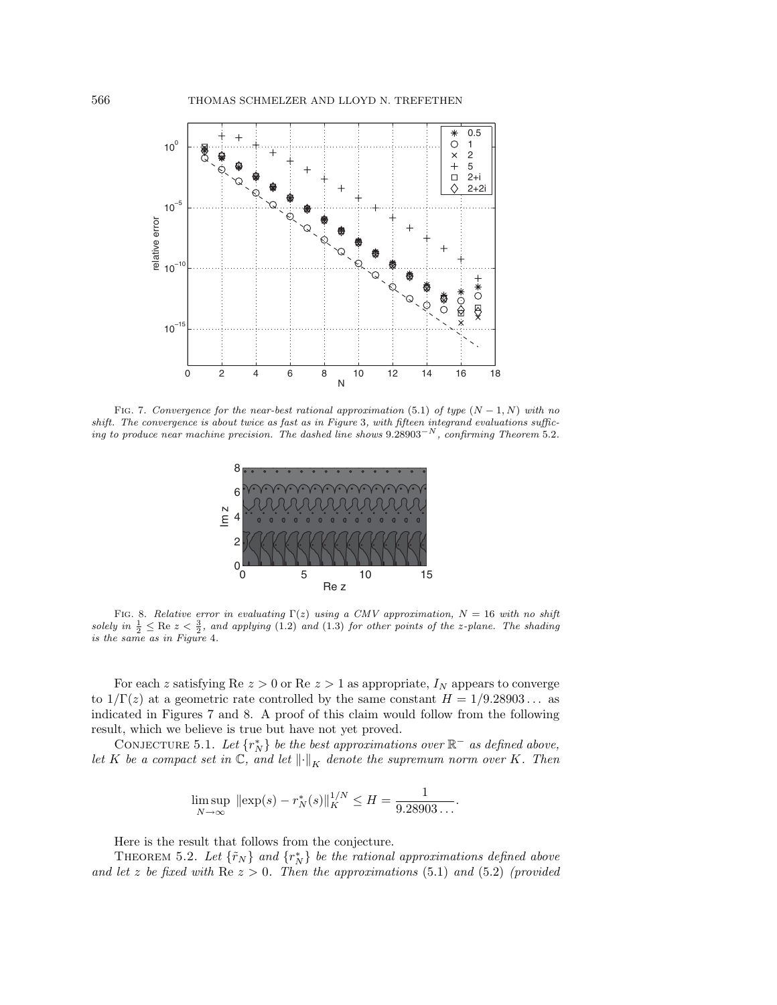

FIG. 7. Convergence for the near-best rational approximation (5.1) of type  $(N-1, N)$  with no shift. The convergence is about twice as fast as in Figure 3, with fifteen integrand evaluations sufficing to produce near machine precision. The dashed line shows 9.28903−<sup>N</sup> , confirming Theorem 5.2.



FIG. 8. Relative error in evaluating  $\Gamma(z)$  using a CMV approximation,  $N = 16$  with no shift solely in  $\frac{1}{2} \leq$  Re  $z < \frac{3}{2}$ , and applying (1.2) and (1.3) for other points of the z-plane. The shading is the same as in Figure 4.

For each z satisfying Re  $z > 0$  or Re  $z > 1$  as appropriate,  $I_N$  appears to converge to  $1/\Gamma(z)$  at a geometric rate controlled by the same constant  $H = 1/9.28903...$  as indicated in Figures 7 and 8. A proof of this claim would follow from the following result, which we believe is true but have not yet proved.

CONJECTURE 5.1. Let  $\{r_N^*\}$  be the best approximations over  $\mathbb{R}^-$  as defined above, let K be a compact set in  $\mathbb{C}$ , and let  $\left\| \cdot \right\|_K$  denote the supremum norm over K. Then

$$
\limsup_{N \to \infty} \|\exp(s) - r_N^*(s)\|_{K}^{1/N} \le H = \frac{1}{9.28903\dots}.
$$

Here is the result that follows from the conjecture.

THEOREM 5.2. Let  $\{\tilde{r}_N\}$  and  $\{r_N^*\}$  be the rational approximations defined above and let z be fixed with  $\text{Re } z > 0$ . Then the approximations (5.1) and (5.2) (provided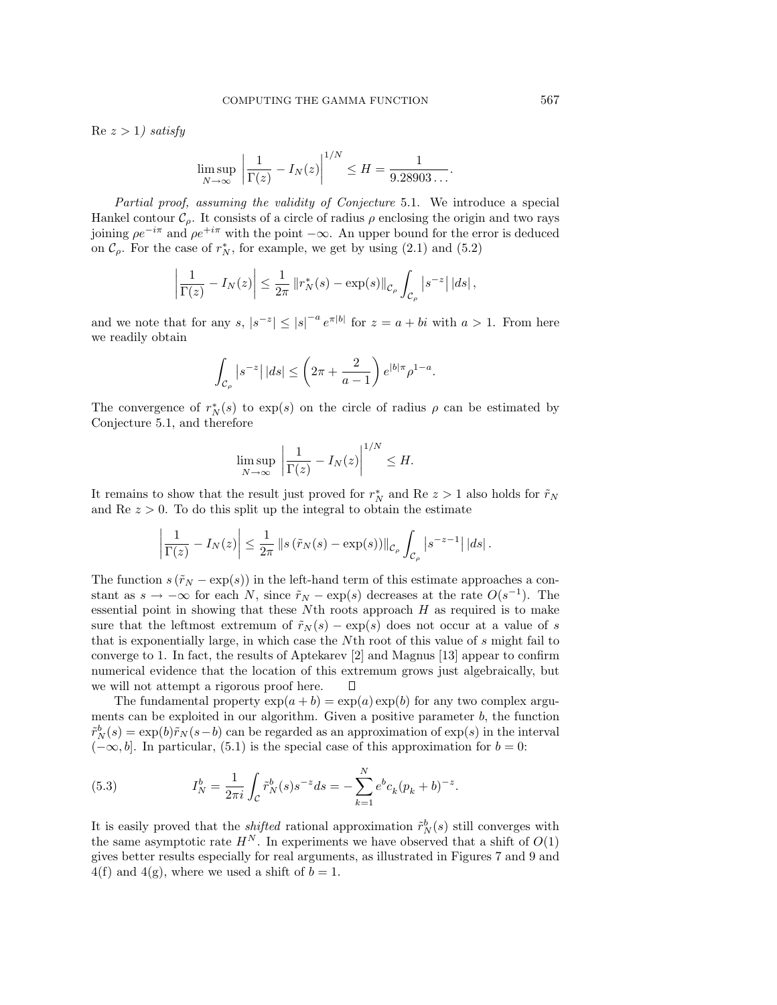$Re\ z > 1$ ) satisfy

$$
\limsup_{N \to \infty} \left| \frac{1}{\Gamma(z)} - I_N(z) \right|^{1/N} \le H = \frac{1}{9.28903\dots}.
$$

Partial proof, assuming the validity of Conjecture 5.1. We introduce a special Hankel contour  $\mathcal{C}_o$ . It consists of a circle of radius  $\rho$  enclosing the origin and two rays joining  $\rho e^{-i\pi}$  and  $\rho e^{+i\pi}$  with the point  $-\infty$ . An upper bound for the error is deduced on  $\mathcal{C}_{\rho}$ . For the case of  $r_N^*$ , for example, we get by using (2.1) and (5.2)

$$
\left|\frac{1}{\Gamma(z)} - I_N(z)\right| \leq \frac{1}{2\pi} \left\|r_N^*(s) - \exp(s)\right\|_{\mathcal{C}_\rho} \int_{\mathcal{C}_\rho} \left|s^{-z}\right| \left|ds\right|,
$$

and we note that for any  $s, |s^{-z}| \leq |s|^{-a} e^{\pi |b|}$  for  $z = a + bi$  with  $a > 1$ . From here we readily obtain

$$
\int_{\mathcal{C}_{\rho}}\left|s^{-z}\right||ds| \leq \left(2\pi + \frac{2}{a-1}\right)e^{|b|\pi}\rho^{1-a}.
$$

The convergence of  $r_N^*(s)$  to exp(s) on the circle of radius  $\rho$  can be estimated by Conjecture 5.1, and therefore

$$
\limsup_{N \to \infty} \left| \frac{1}{\Gamma(z)} - I_N(z) \right|^{1/N} \le H.
$$

It remains to show that the result just proved for  $r_N^*$  and Re  $z > 1$  also holds for  $\tilde{r}_N$ and  $\text{Re } z > 0$ . To do this split up the integral to obtain the estimate

$$
\left|\frac{1}{\Gamma(z)}-I_N(z)\right|\leq \frac{1}{2\pi}\left\|s\left(\tilde{r}_N(s)-\exp(s)\right)\right\|_{\mathcal{C}_{\rho}}\int_{\mathcal{C}_{\rho}}\left|s^{-z-1}\right|\left|ds\right|.
$$

The function  $s(\tilde{r}_N - \exp(s))$  in the left-hand term of this estimate approaches a constant as  $s \to -\infty$  for each N, since  $\tilde{r}_N - \exp(s)$  decreases at the rate  $O(s^{-1})$ . The essential point in showing that these  $N$ th roots approach  $H$  as required is to make sure that the leftmost extremum of  $\tilde{r}_N(s) - \exp(s)$  does not occur at a value of s that is exponentially large, in which case the Nth root of this value of s might fail to converge to 1. In fact, the results of Aptekarev [2] and Magnus [13] appear to confirm numerical evidence that the location of this extremum grows just algebraically, but we will not attempt a rigorous proof here.  $\Box$ 

The fundamental property  $\exp(a + b) = \exp(a)\exp(b)$  for any two complex arguments can be exploited in our algorithm. Given a positive parameter b, the function  $\tilde{r}_N^b(s) = \exp(b)\tilde{r}_N(s-b)$  can be regarded as an approximation of  $\exp(s)$  in the interval  $(-\infty, b]$ . In particular, (5.1) is the special case of this approximation for  $b = 0$ :

(5.3) 
$$
I_N^b = \frac{1}{2\pi i} \int_C \tilde{r}_N^b(s) s^{-z} ds = -\sum_{k=1}^N e^b c_k (p_k + b)^{-z}.
$$

It is easily proved that the *shifted* rational approximation  $\tilde{r}_N^b(s)$  still converges with the same asymptotic rate  $H^N$ . In experiments we have observed that a shift of  $O(1)$ gives better results especially for real arguments, as illustrated in Figures 7 and 9 and  $4(f)$  and  $4(g)$ , where we used a shift of  $b = 1$ .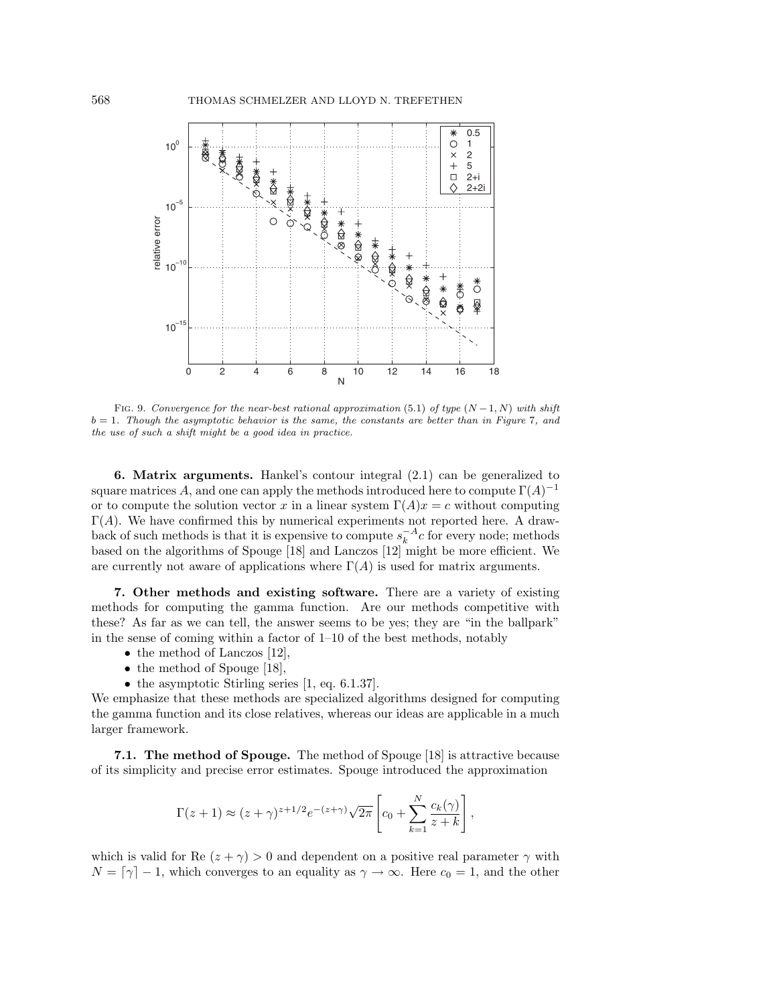

FIG. 9. Convergence for the near-best rational approximation (5.1) of type  $(N-1, N)$  with shift  $b = 1$ . Though the asymptotic behavior is the same, the constants are better than in Figure 7, and the use of such a shift might be a good idea in practice.

**6. Matrix arguments.** Hankel's contour integral (2.1) can be generalized to square matrices A, and one can apply the methods introduced here to compute  $\Gamma(A)^{-1}$ or to compute the solution vector x in a linear system  $\Gamma(A)x = c$  without computing  $\Gamma(A)$ . We have confirmed this by numerical experiments not reported here. A drawback of such methods is that it is expensive to compute  $s_k^{-A}c$  for every node; methods based on the algorithms of Spouge [18] and Lanczos [12] might be more efficient. We are currently not aware of applications where  $\Gamma(A)$  is used for matrix arguments.

**7. Other methods and existing software.** There are a variety of existing methods for computing the gamma function. Are our methods competitive with these? As far as we can tell, the answer seems to be yes; they are "in the ballpark" in the sense of coming within a factor of  $1-10$  of the best methods, notably

- the method of Lanczos [12],
- the method of Spouge [18],
- the asymptotic Stirling series [1, eq. 6.1.37].

We emphasize that these methods are specialized algorithms designed for computing the gamma function and its close relatives, whereas our ideas are applicable in a much larger framework.

**7.1. The method of Spouge.** The method of Spouge [18] is attractive because of its simplicity and precise error estimates. Spouge introduced the approximation

$$
\Gamma(z+1) \approx (z+\gamma)^{z+1/2} e^{-(z+\gamma)} \sqrt{2\pi} \left[ c_0 + \sum_{k=1}^N \frac{c_k(\gamma)}{z+k} \right],
$$

which is valid for Re  $(z + \gamma) > 0$  and dependent on a positive real parameter  $\gamma$  with  $N = \lceil \gamma \rceil - 1$ , which converges to an equality as  $\gamma \to \infty$ . Here  $c_0 = 1$ , and the other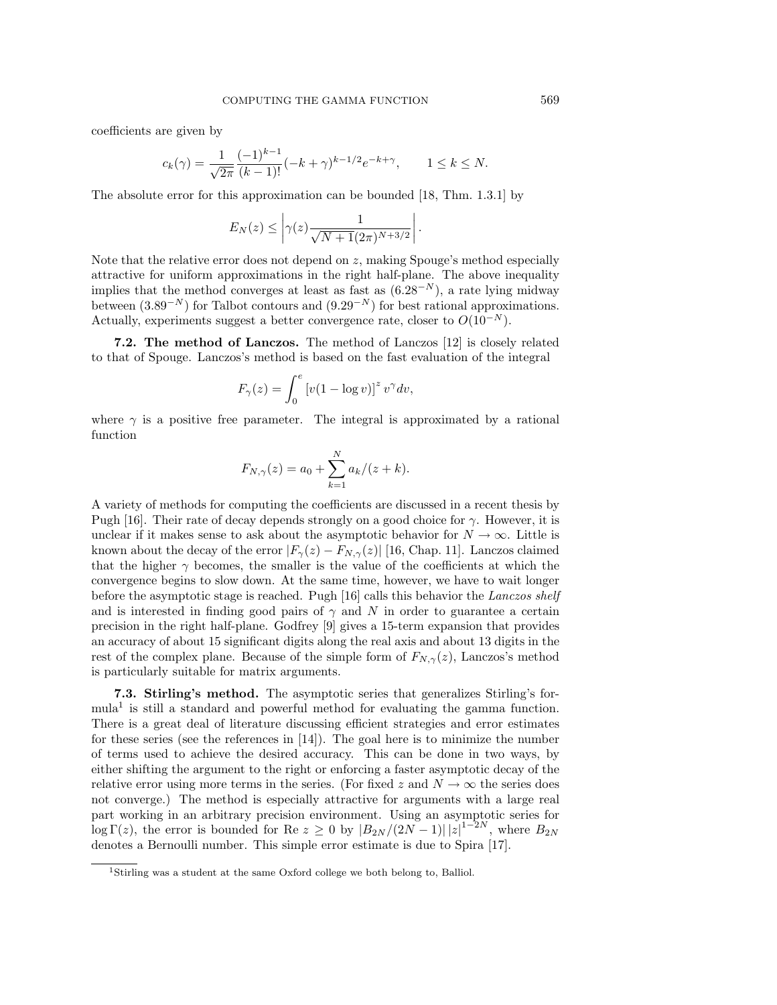coefficients are given by

$$
c_k(\gamma) = \frac{1}{\sqrt{2\pi}} \frac{(-1)^{k-1}}{(k-1)!} (-k+\gamma)^{k-1/2} e^{-k+\gamma}, \qquad 1 \le k \le N.
$$

The absolute error for this approximation can be bounded [18, Thm. 1.3.1] by

$$
E_N(z) \leq \left| \gamma(z) \frac{1}{\sqrt{N+1}(2\pi)^{N+3/2}} \right|.
$$

Note that the relative error does not depend on  $z$ , making Spouge's method especially attractive for uniform approximations in the right half-plane. The above inequality implies that the method converges at least as fast as  $(6.28<sup>-N</sup>)$ , a rate lying midway between  $(3.89^{-N})$  for Talbot contours and  $(9.29^{-N})$  for best rational approximations. Actually, experiments suggest a better convergence rate, closer to  $O(10^{-N})$ .

**7.2. The method of Lanczos.** The method of Lanczos [12] is closely related to that of Spouge. Lanczos's method is based on the fast evaluation of the integral

$$
F_{\gamma}(z) = \int_0^e \left[ v(1 - \log v) \right]^z v^{\gamma} dv,
$$

where  $\gamma$  is a positive free parameter. The integral is approximated by a rational function

$$
F_{N,\gamma}(z) = a_0 + \sum_{k=1}^{N} a_k/(z+k).
$$

A variety of methods for computing the coefficients are discussed in a recent thesis by Pugh [16]. Their rate of decay depends strongly on a good choice for  $\gamma$ . However, it is unclear if it makes sense to ask about the asymptotic behavior for  $N \to \infty$ . Little is known about the decay of the error  $|F_{\gamma}(z) - F_{N,\gamma}(z)|$  [16, Chap. 11]. Lanczos claimed that the higher  $\gamma$  becomes, the smaller is the value of the coefficients at which the convergence begins to slow down. At the same time, however, we have to wait longer before the asymptotic stage is reached. Pugh [16] calls this behavior the Lanczos shelf and is interested in finding good pairs of  $\gamma$  and N in order to guarantee a certain precision in the right half-plane. Godfrey [9] gives a 15-term expansion that provides an accuracy of about 15 significant digits along the real axis and about 13 digits in the rest of the complex plane. Because of the simple form of  $F_{N,\gamma}(z)$ , Lanczos's method is particularly suitable for matrix arguments.

**7.3. Stirling's method.** The asymptotic series that generalizes Stirling's formula<sup>1</sup> is still a standard and powerful method for evaluating the gamma function. There is a great deal of literature discussing efficient strategies and error estimates for these series (see the references in [14]). The goal here is to minimize the number of terms used to achieve the desired accuracy. This can be done in two ways, by either shifting the argument to the right or enforcing a faster asymptotic decay of the relative error using more terms in the series. (For fixed z and  $N \to \infty$  the series does not converge.) The method is especially attractive for arguments with a large real part working in an arbitrary precision environment. Using an asymptotic series for  $\log \Gamma(z)$ , the error is bounded for Re  $z \geq 0$  by  $|B_{2N}/(2N-1)| |z|^{1-2N}$ , where  $B_{2N}$ denotes a Bernoulli number. This simple error estimate is due to Spira [17].

<sup>&</sup>lt;sup>1</sup>Stirling was a student at the same Oxford college we both belong to, Balliol.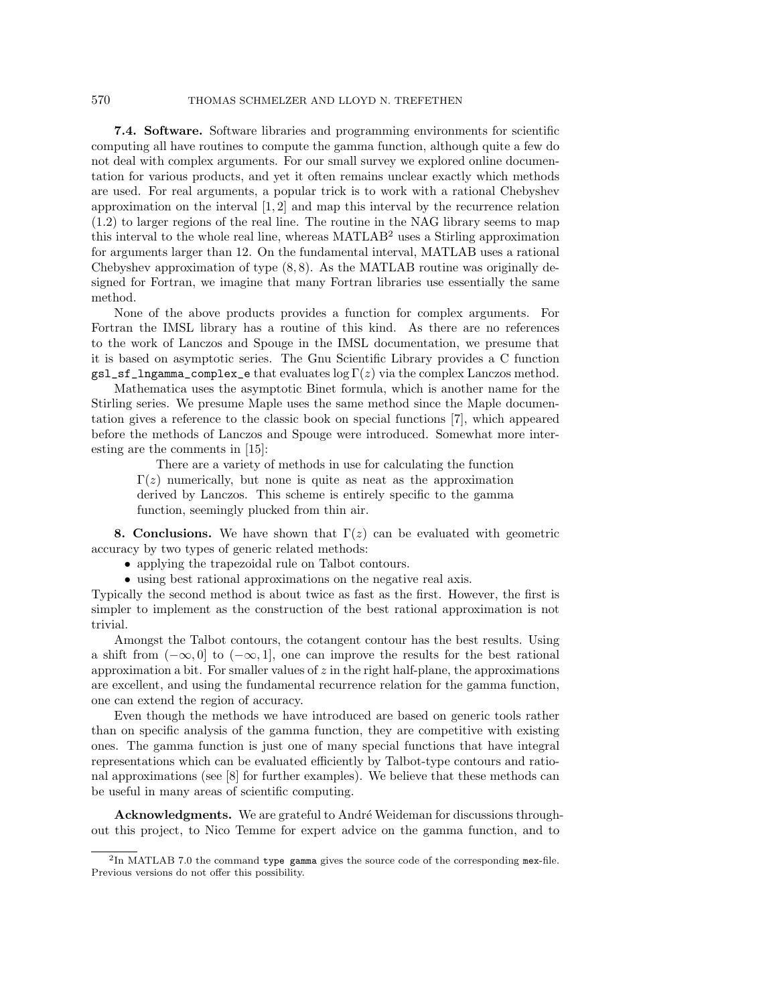**7.4. Software.** Software libraries and programming environments for scientific computing all have routines to compute the gamma function, although quite a few do not deal with complex arguments. For our small survey we explored online documentation for various products, and yet it often remains unclear exactly which methods are used. For real arguments, a popular trick is to work with a rational Chebyshev approximation on the interval  $[1, 2]$  and map this interval by the recurrence relation (1.2) to larger regions of the real line. The routine in the NAG library seems to map this interval to the whole real line, whereas  $\text{MATLAB}^2$  uses a Stirling approximation for arguments larger than 12. On the fundamental interval, MATLAB uses a rational Chebyshev approximation of type (8, 8). As the MATLAB routine was originally designed for Fortran, we imagine that many Fortran libraries use essentially the same method.

None of the above products provides a function for complex arguments. For Fortran the IMSL library has a routine of this kind. As there are no references to the work of Lanczos and Spouge in the IMSL documentation, we presume that it is based on asymptotic series. The Gnu Scientific Library provides a C function  $gs1_s f_1ngamma_{complex}$  e that evaluates  $log \Gamma(z)$  via the complex Lanczos method.

Mathematica uses the asymptotic Binet formula, which is another name for the Stirling series. We presume Maple uses the same method since the Maple documentation gives a reference to the classic book on special functions [7], which appeared before the methods of Lanczos and Spouge were introduced. Somewhat more interesting are the comments in [15]:

There are a variety of methods in use for calculating the function  $\Gamma(z)$  numerically, but none is quite as neat as the approximation derived by Lanczos. This scheme is entirely specific to the gamma function, seemingly plucked from thin air.

**8. Conclusions.** We have shown that  $\Gamma(z)$  can be evaluated with geometric accuracy by two types of generic related methods:

- applying the trapezoidal rule on Talbot contours.
- using best rational approximations on the negative real axis.

Typically the second method is about twice as fast as the first. However, the first is simpler to implement as the construction of the best rational approximation is not trivial.

Amongst the Talbot contours, the cotangent contour has the best results. Using a shift from  $(-\infty, 0]$  to  $(-\infty, 1]$ , one can improve the results for the best rational approximation a bit. For smaller values of  $z$  in the right half-plane, the approximations are excellent, and using the fundamental recurrence relation for the gamma function, one can extend the region of accuracy.

Even though the methods we have introduced are based on generic tools rather than on specific analysis of the gamma function, they are competitive with existing ones. The gamma function is just one of many special functions that have integral representations which can be evaluated efficiently by Talbot-type contours and rational approximations (see [8] for further examples). We believe that these methods can be useful in many areas of scientific computing.

Acknowledgments. We are grateful to André Weideman for discussions throughout this project, to Nico Temme for expert advice on the gamma function, and to

<sup>&</sup>lt;sup>2</sup>In MATLAB 7.0 the command type gamma gives the source code of the corresponding mex-file. Previous versions do not offer this possibility.